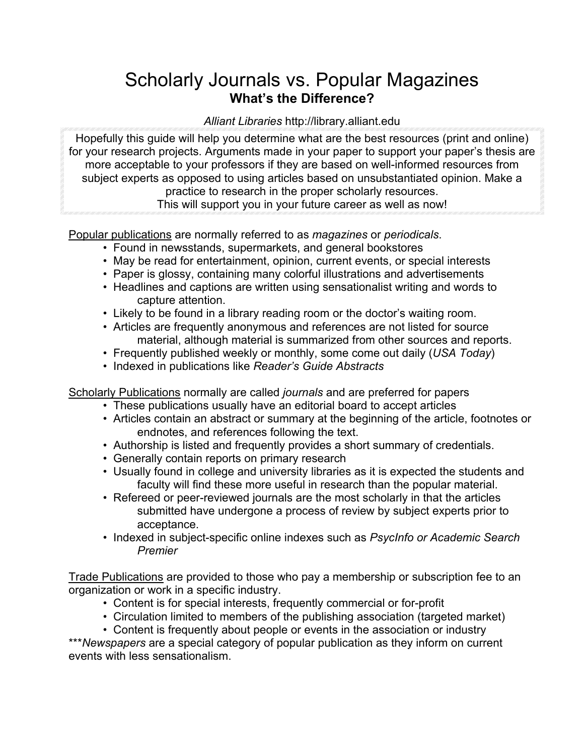## Scholarly Journals vs. Popular Magazines **What's the Difference?**

## *Alliant Libraries* http://library.alliant.edu

Hopefully this guide will help you determine what are the best resources (print and online) for your research projects. Arguments made in your paper to support your paper's thesis are more acceptable to your professors if they are based on well-informed resources from subject experts as opposed to using articles based on unsubstantiated opinion. Make a practice to research in the proper scholarly resources. This will support you in your future career as well as now!

Popular publications are normally referred to as *magazines* or *periodicals*.

- Found in newsstands, supermarkets, and general bookstores
- May be read for entertainment, opinion, current events, or special interests
- Paper is glossy, containing many colorful illustrations and advertisements
- Headlines and captions are written using sensationalist writing and words to capture attention.
- Likely to be found in a library reading room or the doctor's waiting room.
- Articles are frequently anonymous and references are not listed for source material, although material is summarized from other sources and reports.
- Frequently published weekly or monthly, some come out daily (*USA Today*)
- Indexed in publications like *Reader's Guide Abstracts*

Scholarly Publications normally are called *journals* and are preferred for papers

- These publications usually have an editorial board to accept articles
- Articles contain an abstract or summary at the beginning of the article, footnotes or endnotes, and references following the text.
- Authorship is listed and frequently provides a short summary of credentials.
- Generally contain reports on primary research
- Usually found in college and university libraries as it is expected the students and faculty will find these more useful in research than the popular material.
- Refereed or peer-reviewed journals are the most scholarly in that the articles submitted have undergone a process of review by subject experts prior to acceptance.
- Indexed in subject-specific online indexes such as *PsycInfo or Academic Search Premier*

Trade Publications are provided to those who pay a membership or subscription fee to an organization or work in a specific industry.

- Content is for special interests, frequently commercial or for-profit
- Circulation limited to members of the publishing association (targeted market)
- Content is frequently about people or events in the association or industry

\*\*\**Newspapers* are a special category of popular publication as they inform on current events with less sensationalism.